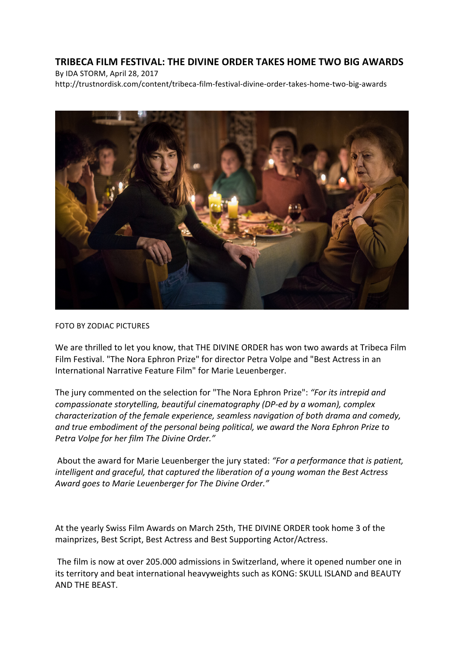## **TRIBECA FILM FESTIVAL: THE DIVINE ORDER TAKES HOME TWO BIG AWARDS**

By IDA STORM, April 28, 2017 http://trustnordisk.com/content/tribeca-film-festival-divine-order-takes-home-two-big-awards



## FOTO BY ZODIAC PICTURES

We are thrilled to let you know, that THE DIVINE ORDER has won two awards at Tribeca Film Film Festival. "The Nora Ephron Prize" for director Petra Volpe and "Best Actress in an International Narrative Feature Film" for Marie Leuenberger.

The jury commented on the selection for "The Nora Ephron Prize": "For its intrepid and *compassionate storytelling, beautiful cinematography (DP-ed by a woman), complex characterization of the female experience, seamless navigation of both drama and comedy,* and true embodiment of the personal being political, we award the Nora Ephron Prize to Petra Volpe for her film The Divine Order."

About the award for Marie Leuenberger the jury stated: "For a performance that is patient, *intelligent and graceful, that captured the liberation of a young woman the Best Actress* Award goes to Marie Leuenberger for The Divine Order."

At the yearly Swiss Film Awards on March 25th, THE DIVINE ORDER took home 3 of the mainprizes, Best Script, Best Actress and Best Supporting Actor/Actress.

The film is now at over 205.000 admissions in Switzerland, where it opened number one in its territory and beat international heavyweights such as KONG: SKULL ISLAND and BEAUTY AND THE BEAST.